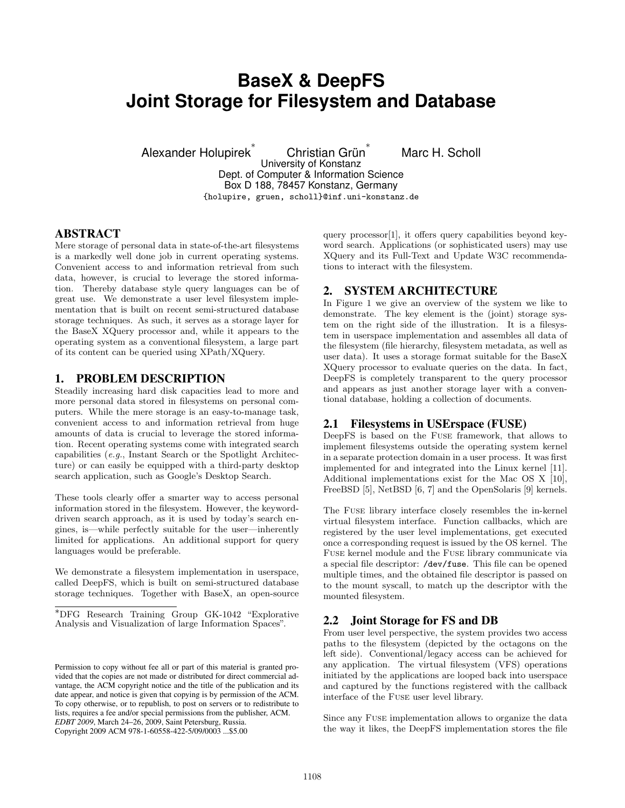# **BaseX & DeepFS Joint Storage for Filesystem and Database**

Marc H. Scholl

Alexander Holupirek ∗ Christian Grün ∗ University of Konstanz Dept. of Computer & Information Science Box D 188, 78457 Konstanz, Germany {holupire, gruen, scholl}@inf.uni-konstanz.de

# ABSTRACT

Mere storage of personal data in state-of-the-art filesystems is a markedly well done job in current operating systems. Convenient access to and information retrieval from such data, however, is crucial to leverage the stored information. Thereby database style query languages can be of great use. We demonstrate a user level filesystem implementation that is built on recent semi-structured database storage techniques. As such, it serves as a storage layer for the BaseX XQuery processor and, while it appears to the operating system as a conventional filesystem, a large part of its content can be queried using XPath/XQuery.

## 1. PROBLEM DESCRIPTION

Steadily increasing hard disk capacities lead to more and more personal data stored in filesystems on personal computers. While the mere storage is an easy-to-manage task, convenient access to and information retrieval from huge amounts of data is crucial to leverage the stored information. Recent operating systems come with integrated search capabilities (e.g., Instant Search or the Spotlight Architecture) or can easily be equipped with a third-party desktop search application, such as Google's Desktop Search.

These tools clearly offer a smarter way to access personal information stored in the filesystem. However, the keyworddriven search approach, as it is used by today's search engines, is—while perfectly suitable for the user—inherently limited for applications. An additional support for query languages would be preferable.

We demonstrate a filesystem implementation in userspace, called DeepFS, which is built on semi-structured database storage techniques. Together with BaseX, an open-source

query processor[1], it offers query capabilities beyond keyword search. Applications (or sophisticated users) may use XQuery and its Full-Text and Update W3C recommendations to interact with the filesystem.

## 2. SYSTEM ARCHITECTURE

In Figure 1 we give an overview of the system we like to demonstrate. The key element is the (joint) storage system on the right side of the illustration. It is a filesystem in userspace implementation and assembles all data of the filesystem (file hierarchy, filesystem metadata, as well as user data). It uses a storage format suitable for the BaseX XQuery processor to evaluate queries on the data. In fact, DeepFS is completely transparent to the query processor and appears as just another storage layer with a conventional database, holding a collection of documents.

# 2.1 Filesystems in USErspace (FUSE)

DeepFS is based on the Fuse framework, that allows to implement filesystems outside the operating system kernel in a separate protection domain in a user process. It was first implemented for and integrated into the Linux kernel [11]. Additional implementations exist for the Mac OS X [10], FreeBSD [5], NetBSD [6, 7] and the OpenSolaris [9] kernels.

The Fuse library interface closely resembles the in-kernel virtual filesystem interface. Function callbacks, which are registered by the user level implementations, get executed once a corresponding request is issued by the OS kernel. The Fuse kernel module and the Fuse library communicate via a special file descriptor: /dev/fuse. This file can be opened multiple times, and the obtained file descriptor is passed on to the mount syscall, to match up the descriptor with the mounted filesystem.

# 2.2 Joint Storage for FS and DB

From user level perspective, the system provides two access paths to the filesystem (depicted by the octagons on the left side). Conventional/legacy access can be achieved for any application. The virtual filesystem (VFS) operations initiated by the applications are looped back into userspace and captured by the functions registered with the callback interface of the Fuse user level library.

Since any Fuse implementation allows to organize the data the way it likes, the DeepFS implementation stores the file

<sup>∗</sup>DFG Research Training Group GK-1042 "Explorative Analysis and Visualization of large Information Spaces".

Permission to copy without fee all or part of this material is granted provided that the copies are not made or distributed for direct commercial advantage, the ACM copyright notice and the title of the publication and its date appear, and notice is given that copying is by permission of the ACM. To copy otherwise, or to republish, to post on servers or to redistribute to lists, requires a fee and/or special permissions from the publisher, ACM. *EDBT 2009*, March 24–26, 2009, Saint Petersburg, Russia. Copyright 2009 ACM 978-1-60558-422-5/09/0003 ...\$5.00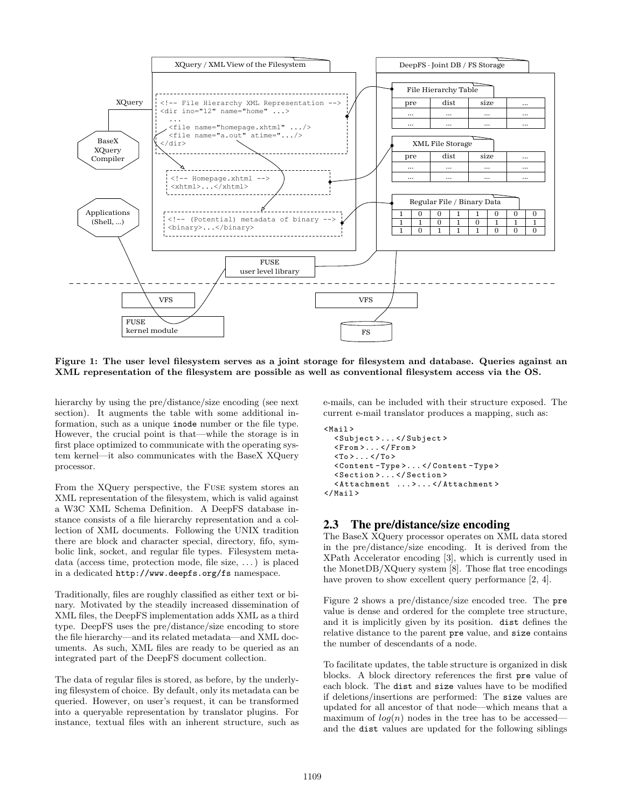

Figure 1: The user level filesystem serves as a joint storage for filesystem and database. Queries against an XML representation of the filesystem are possible as well as conventional filesystem access via the OS.

hierarchy by using the pre/distance/size encoding (see next) section). It augments the table with some additional information, such as a unique inode number or the file type. However, the crucial point is that—while the storage is in first place optimized to communicate with the operating system kernel—it also communicates with the BaseX XQuery processor.

From the XQuery perspective, the Fuse system stores an XML representation of the filesystem, which is valid against a W3C XML Schema Definition. A DeepFS database instance consists of a file hierarchy representation and a collection of XML documents. Following the UNIX tradition there are block and character special, directory, fifo, symbolic link, socket, and regular file types. Filesystem metadata (access time, protection mode, file size, . . . ) is placed in a dedicated http://www.deepfs.org/fs namespace.

Traditionally, files are roughly classified as either text or binary. Motivated by the steadily increased dissemination of XML files, the DeepFS implementation adds XML as a third type. DeepFS uses the pre/distance/size encoding to store the file hierarchy—and its related metadata—and XML documents. As such, XML files are ready to be queried as an integrated part of the DeepFS document collection.

The data of regular files is stored, as before, by the underlying filesystem of choice. By default, only its metadata can be queried. However, on user's request, it can be transformed into a queryable representation by translator plugins. For instance, textual files with an inherent structure, such as

e-mails, can be included with their structure exposed. The current e-mail translator produces a mapping, such as:

```
<Mail >< Subject >... </ Subject >
  \langleFrom >... \langle/From >
  <To > . . . </To >
  < Content - Type >... </ Content - Type >
  < Section >... </ Section >
  < Attachment ... >... </ Attachment >
\langle/Mail>
```
#### 2.3 The pre/distance/size encoding

The BaseX XQuery processor operates on XML data stored in the pre/distance/size encoding. It is derived from the XPath Accelerator encoding [3], which is currently used in the MonetDB/XQuery system [8]. Those flat tree encodings have proven to show excellent query performance [2, 4].

Figure 2 shows a pre/distance/size encoded tree. The pre value is dense and ordered for the complete tree structure, and it is implicitly given by its position. dist defines the relative distance to the parent pre value, and size contains the number of descendants of a node.

To facilitate updates, the table structure is organized in disk blocks. A block directory references the first pre value of each block. The dist and size values have to be modified if deletions/insertions are performed: The size values are updated for all ancestor of that node—which means that a maximum of  $log(n)$  nodes in the tree has to be accessed and the dist values are updated for the following siblings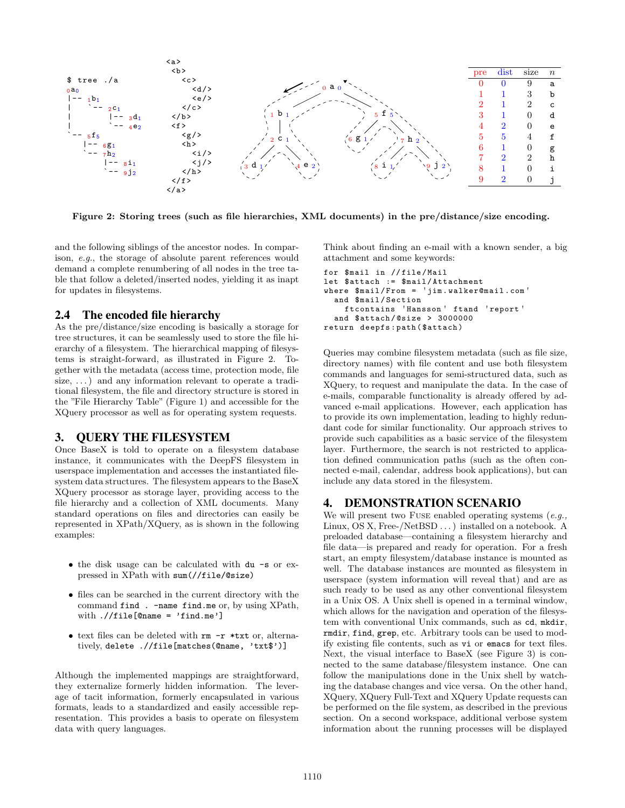

Figure 2: Storing trees (such as file hierarchies, XML documents) in the pre/distance/size encoding.

and the following siblings of the ancestor nodes. In comparison, e.g., the storage of absolute parent references would demand a complete renumbering of all nodes in the tree table that follow a deleted/inserted nodes, yielding it as inapt for updates in filesystems.

#### 2.4 The encoded file hierarchy

As the pre/distance/size encoding is basically a storage for tree structures, it can be seamlessly used to store the file hierarchy of a filesystem. The hierarchical mapping of filesystems is straight-forward, as illustrated in Figure 2. Together with the metadata (access time, protection mode, file size,  $\dots$ ) and any information relevant to operate a traditional filesystem, the file and directory structure is stored in the "File Hierarchy Table" (Figure 1) and accessible for the XQuery processor as well as for operating system requests.

## 3. QUERY THE FILESYSTEM

Once BaseX is told to operate on a filesystem database instance, it communicates with the DeepFS filesystem in userspace implementation and accesses the instantiated filesystem data structures. The filesystem appears to the BaseX XQuery processor as storage layer, providing access to the file hierarchy and a collection of XML documents. Many standard operations on files and directories can easily be represented in XPath/XQuery, as is shown in the following examples:

- the disk usage can be calculated with du -s or expressed in XPath with sum(//file/@size)
- files can be searched in the current directory with the command find . -name find.me or, by using XPath, with  $.//file[@name = 'find-me']$
- text files can be deleted with rm -r \*txt or, alternatively, delete .//file[matches(@name, 'txt\$')]

Although the implemented mappings are straightforward, they externalize formerly hidden information. The leverage of tacit information, formerly encapsulated in various formats, leads to a standardized and easily accessible representation. This provides a basis to operate on filesystem data with query languages.

Think about finding an e-mail with a known sender, a big attachment and some keywords:

```
for $mail in // file / Mail
let $attach := $mail / Attachment
where $mail / From = ' jim . walker@mail . com '
  and $mail / Section
    ftcontains ' Hansson ' ftand ' report '
  and $attach/@size > 3000000
return deepfs : path ( $attach )
```
Queries may combine filesystem metadata (such as file size, directory names) with file content and use both filesystem commands and languages for semi-structured data, such as XQuery, to request and manipulate the data. In the case of e-mails, comparable functionality is already offered by advanced e-mail applications. However, each application has to provide its own implementation, leading to highly redundant code for similar functionality. Our approach strives to provide such capabilities as a basic service of the filesystem layer. Furthermore, the search is not restricted to application defined communication paths (such as the often connected e-mail, calendar, address book applications), but can include any data stored in the filesystem.

#### 4. DEMONSTRATION SCENARIO

We will present two FUSE enabled operating systems  $(e.g.,$ Linux, OS X, Free-/NetBSD . . . ) installed on a notebook. A preloaded database—containing a filesystem hierarchy and file data—is prepared and ready for operation. For a fresh start, an empty filesystem/database instance is mounted as well. The database instances are mounted as filesystem in userspace (system information will reveal that) and are as such ready to be used as any other conventional filesystem in a Unix OS. A Unix shell is opened in a terminal window, which allows for the navigation and operation of the filesystem with conventional Unix commands, such as cd, mkdir, rmdir, find, grep, etc. Arbitrary tools can be used to modify existing file contents, such as vi or emacs for text files. Next, the visual interface to BaseX (see Figure 3) is connected to the same database/filesystem instance. One can follow the manipulations done in the Unix shell by watching the database changes and vice versa. On the other hand, XQuery, XQuery Full-Text and XQuery Update requests can be performed on the file system, as described in the previous section. On a second workspace, additional verbose system information about the running processes will be displayed